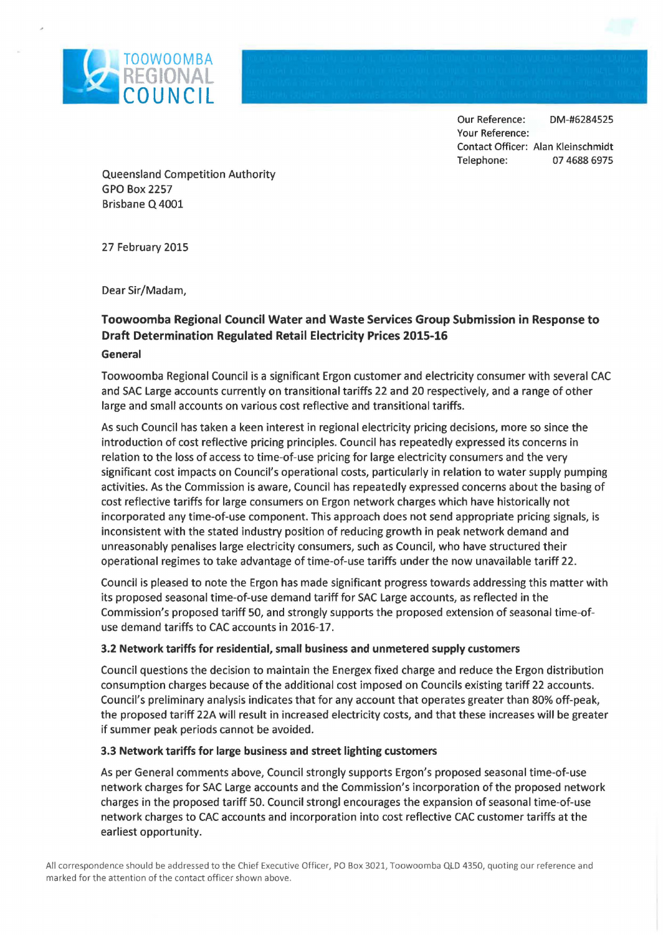

Our Reference: DM-#6284525 Your Reference: Contact Officer: Alan Kleinschmidt Telephone: 07 4688 6975

Queensland Competition Authority GPO Box 2257 Brisbane Q 4001

27 February 2015

Dear Sir/Madam,

## **Toowoomba Regional Council Water and Waste Services Group Submission in Response to Draft Determination Regulated Retail Electricity Prices 2015-16 General**

Toowoomba Regional Council is a significant Ergon customer and electricity consumer with several CAC and SAC Large accounts currently on transitional tariffs 22 and 20 respectively, and a range of other large and small accounts on various cost reflective and transitional tariffs.

As such Council has taken a keen interest in regional electricity pricing decisions, more so since the introduction of cost reflective pricing principles. Council has repeatedly expressed its concerns in relation to the loss of access to time-of-use pricing for large electricity consumers and the very significant cost impacts on Council's operational costs, particularly in relation to water supply pumping activities. As the Commission is aware, Council has repeatedly expressed concerns about the basing of cost reflective tariffs for large consumers on Ergon network charges which have historically not incorporated any time-of-use component. This approach does not send appropriate pricing signals, is inconsistent with the stated industry position of reducing growth in peak network demand and unreasonably penalises large electricity consumers, such as Council, who have structured their operational regimes to take advantage of time-of-use tariffs under the now unavailable tariff 22.

Council is pleased to note the Ergon has made significant progress towards addressing this matter with its proposed seasonal time-of-use demand tariff for SAC Large accounts, as reflected in the Commission's proposed tariff 50, and strongly supports the proposed extension of seasonal time-ofuse demand tariffs to CAC accounts in 2016-17.

## **3.2 Network tariffs for residential, small business and unmetered supply customers**

Council questions the decision to maintain the Energex fixed charge and reduce the Ergon distribution consumption charges because of the additional cost imposed on Councils existing tariff 22 accounts. Council's preliminary analysis indicates that for any account that operates greater than 80% off-peak, the proposed tariff 22A will result in increased electricity costs, and that these increases will be greater if summer peak periods cannot be avoided.

## **3.3 Network tariffs for large business and street lighting customers**

As per General comments above, Council strongly supports Ergon's proposed seasonal time-of-use network charges for SAC Large accounts and the Commission's incorporation of the proposed network charges in the proposed tariff 50. Council strongl encourages the expansion of seasonal time-of-use network charges to CAC accounts and incorporation into cost reflective CAC customer tariffs at the earliest opportunity.